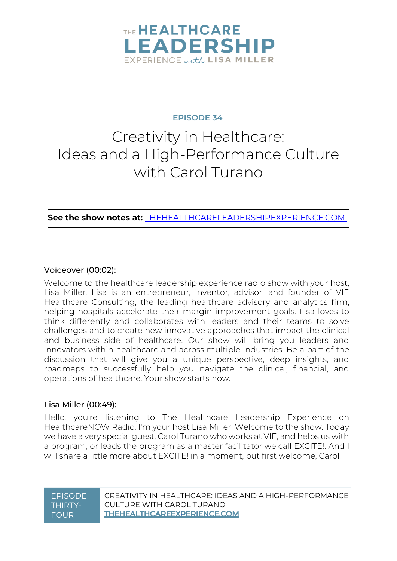

#### **EPISODE 34**

# Creativity in Healthcare: Ideas and a High-Performance Culture with Carol Turano

**See the show notes at:** [THEHEALTHCARELEADERSHIPEXPERIENCE.COM](https://www.thehealthcareleadershipexperience.com/creativity-in-healthcare-ideas-and-a-high-performance-culture-episode-34/)

#### Voiceover (00:02):

Welcome to the healthcare leadership experience radio show with your host, Lisa Miller. Lisa is an entrepreneur, inventor, advisor, and founder of VIE Healthcare Consulting, the leading healthcare advisory and analytics firm, helping hospitals accelerate their margin improvement goals. Lisa loves to think differently and collaborates with leaders and their teams to solve challenges and to create new innovative approaches that impact the clinical and business side of healthcare. Our show will bring you leaders and innovators within healthcare and across multiple industries. Be a part of the discussion that will give you a unique perspective, deep insights, and roadmaps to successfully help you navigate the clinical, financial, and operations of healthcare. Your show starts now.

#### Lisa Miller (00:49):

Hello, you're listening to The Healthcare Leadership Experience on HealthcareNOW Radio, I'm your host Lisa Miller. Welcome to the show. Today we have a very special guest, Carol Turano who works at VIE, and helps us with a program, or leads the program as a master facilitator we call EXCITE!. And I will share a little more about EXCITE! in a moment, but first welcome, Carol.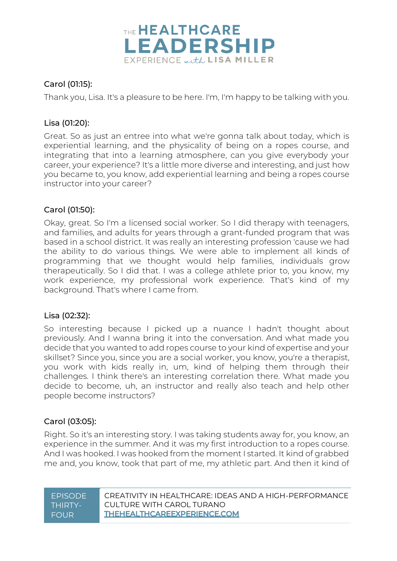

### Carol (01:15):

Thank you, Lisa. It's a pleasure to be here. I'm, I'm happy to be talking with you.

#### Lisa (01:20):

Great. So as just an entree into what we're gonna talk about today, which is experiential learning, and the physicality of being on a ropes course, and integrating that into a learning atmosphere, can you give everybody your career, your experience? It's a little more diverse and interesting, and just how you became to, you know, add experiential learning and being a ropes course instructor into your career?

#### Carol (01:50):

Okay, great. So I'm a licensed social worker. So I did therapy with teenagers, and families, and adults for years through a grant-funded program that was based in a school district. It was really an interesting profession 'cause we had the ability to do various things. We were able to implement all kinds of programming that we thought would help families, individuals grow therapeutically. So I did that. I was a college athlete prior to, you know, my work experience, my professional work experience. That's kind of my background. That's where I came from.

#### Lisa (02:32):

So interesting because I picked up a nuance I hadn't thought about previously. And I wanna bring it into the conversation. And what made you decide that you wanted to add ropes course to your kind of expertise and your skillset? Since you, since you are a social worker, you know, you're a therapist, you work with kids really in, um, kind of helping them through their challenges. I think there's an interesting correlation there. What made you decide to become, uh, an instructor and really also teach and help other people become instructors?

#### Carol (03:05):

Right. So it's an interesting story. I was taking students away for, you know, an experience in the summer. And it was my first introduction to a ropes course. And I was hooked. I was hooked from the moment I started. It kind of grabbed me and, you know, took that part of me, my athletic part. And then it kind of

| <b>FPISODE</b> | CREATIVITY IN HEALTHCARE: IDEAS AND A HIGH-PEREORMANCE |
|----------------|--------------------------------------------------------|
| <b>THIRTYA</b> | CUI TURF WITH CAROL TURANO                             |
| <b>NEOUR</b>   | THEHEALTHCAREEXPERIENCE.COM                            |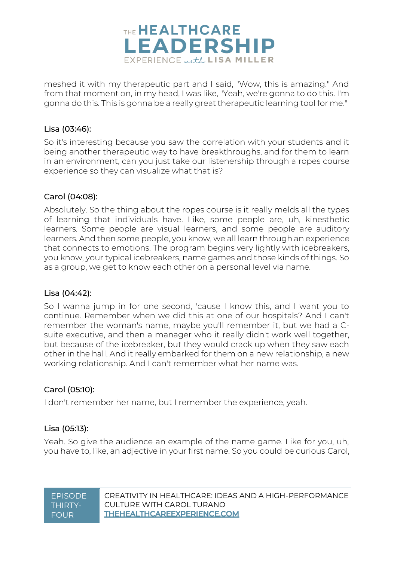

meshed it with my therapeutic part and I said, "Wow, this is amazing." And from that moment on, in my head, I was like, "Yeah, we're gonna to do this. I'm gonna do this. This is gonna be a really great therapeutic learning tool for me."

#### Lisa (03:46):

So it's interesting because you saw the correlation with your students and it being another therapeutic way to have breakthroughs, and for them to learn in an environment, can you just take our listenership through a ropes course experience so they can visualize what that is?

#### Carol (04:08):

Absolutely. So the thing about the ropes course is it really melds all the types of learning that individuals have. Like, some people are, uh, kinesthetic learners. Some people are visual learners, and some people are auditory learners. And then some people, you know, we all learn through an experience that connects to emotions. The program begins very lightly with icebreakers, you know, your typical icebreakers, name games and those kinds of things. So as a group, we get to know each other on a personal level via name.

#### Lisa (04:42):

So I wanna jump in for one second, 'cause I know this, and I want you to continue. Remember when we did this at one of our hospitals? And I can't remember the woman's name, maybe you'll remember it, but we had a Csuite executive, and then a manager who it really didn't work well together, but because of the icebreaker, but they would crack up when they saw each other in the hall. And it really embarked for them on a new relationship, a new working relationship. And I can't remember what her name was.

#### Carol (05:10):

I don't remember her name, but I remember the experience, yeah.

#### Lisa (05:13):

Yeah. So give the audience an example of the name game. Like for you, uh, you have to, like, an adjective in your first name. So you could be curious Carol,

| <b>FPISODE</b> | CREATIVITY IN HEAI THCARE: IDEAS AND A HIGH-PERFORMANCE |
|----------------|---------------------------------------------------------|
| THIRTY-        | CUI TURF WITH CAROL TURANO                              |
| <b>FOUR</b>    | THEHEALTHCAREEXPERIENCE.COM                             |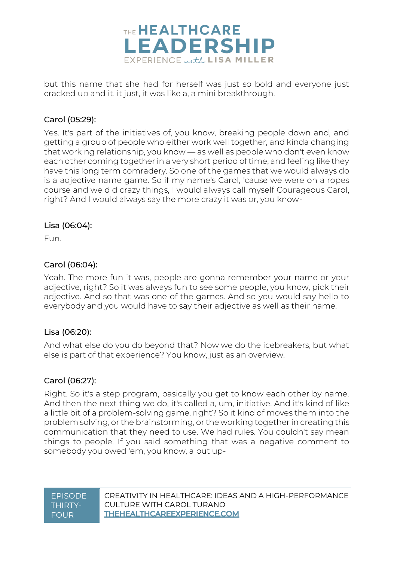

but this name that she had for herself was just so bold and everyone just cracked up and it, it just, it was like a, a mini breakthrough.

#### Carol (05:29):

Yes. It's part of the initiatives of, you know, breaking people down and, and getting a group of people who either work well together, and kinda changing that working relationship, you know — as well as people who don't even know each other coming together in a very short period of time, and feeling like they have this long term comradery. So one of the games that we would always do is a adjective name game. So if my name's Carol, 'cause we were on a ropes course and we did crazy things, I would always call myself Courageous Carol, right? And I would always say the more crazy it was or, you know-

#### Lisa (06:04):

Fun.

#### Carol (06:04):

Yeah. The more fun it was, people are gonna remember your name or your adjective, right? So it was always fun to see some people, you know, pick their adjective. And so that was one of the games. And so you would say hello to everybody and you would have to say their adjective as well as their name.

#### Lisa (06:20):

And what else do you do beyond that? Now we do the icebreakers, but what else is part of that experience? You know, just as an overview.

#### Carol (06:27):

Right. So it's a step program, basically you get to know each other by name. And then the next thing we do, it's called a, um, initiative. And it's kind of like a little bit of a problem-solving game, right? So it kind of moves them into the problem solving, or the brainstorming, or the working together in creating this communication that they need to use. We had rules. You couldn't say mean things to people. If you said something that was a negative comment to somebody you owed 'em, you know, a put up-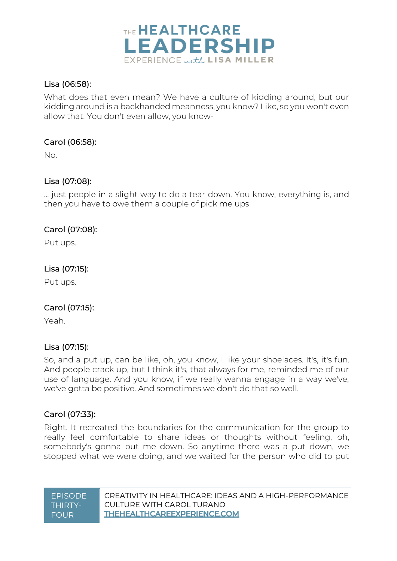

#### Lisa (06:58):

What does that even mean? We have a culture of kidding around, but our kidding around is a backhanded meanness, you know? Like, so you won't even allow that. You don't even allow, you know-

#### Carol (06:58):

No.

#### Lisa (07:08):

... just people in a slight way to do a tear down. You know, everything is, and then you have to owe them a couple of pick me ups

#### Carol (07:08):

Put ups.

#### Lisa (07:15):

Put ups.

#### Carol (07:15):

Yeah.

#### Lisa (07:15):

So, and a put up, can be like, oh, you know, I like your shoelaces. It's, it's fun. And people crack up, but I think it's, that always for me, reminded me of our use of language. And you know, if we really wanna engage in a way we've, we've gotta be positive. And sometimes we don't do that so well.

#### Carol (07:33):

Right. It recreated the boundaries for the communication for the group to really feel comfortable to share ideas or thoughts without feeling, oh, somebody's gonna put me down. So anytime there was a put down, we stopped what we were doing, and we waited for the person who did to put

| <b>FPISODE</b> | CREATIVITY IN HEALTHCARE: IDEAS AND A HIGH-PERFORMANCE |
|----------------|--------------------------------------------------------|
| THIRTY-        | CUI TURF WITH CAROL TURANO                             |
| <b>FOUR</b>    | <b>THEHEALTHCAREEXPERIENCE.COM</b>                     |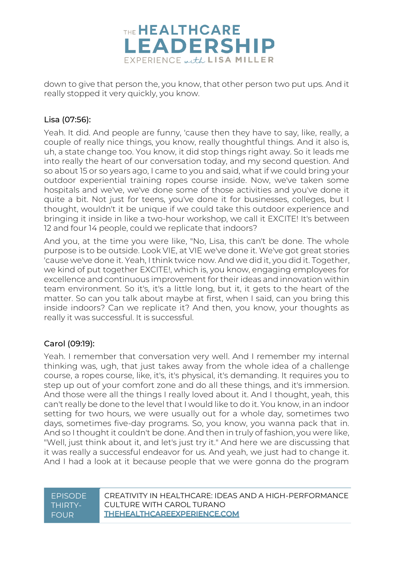

down to give that person the, you know, that other person two put ups. And it really stopped it very quickly, you know.

#### Lisa (07:56):

Yeah. It did. And people are funny, 'cause then they have to say, like, really, a couple of really nice things, you know, really thoughtful things. And it also is, uh, a state change too. You know, it did stop things right away. So it leads me into really the heart of our conversation today, and my second question. And so about 15 or so years ago, I came to you and said, what if we could bring your outdoor experiential training ropes course inside. Now, we've taken some hospitals and we've, we've done some of those activities and you've done it quite a bit. Not just for teens, you've done it for businesses, colleges, but I thought, wouldn't it be unique if we could take this outdoor experience and bringing it inside in like a two-hour workshop, we call it EXCITE! It's between 12 and four 14 people, could we replicate that indoors?

And you, at the time you were like, "No, Lisa, this can't be done. The whole purpose is to be outside. Look VIE, at VIE we've done it. We've got great stories 'cause we've done it. Yeah, I think twice now. And we did it, you did it. Together, we kind of put together EXCITE!, which is, you know, engaging employees for excellence and continuous improvement for their ideas and innovation within team environment. So it's, it's a little long, but it, it gets to the heart of the matter. So can you talk about maybe at first, when I said, can you bring this inside indoors? Can we replicate it? And then, you know, your thoughts as really it was successful. It is successful.

#### Carol (09:19):

Yeah. I remember that conversation very well. And I remember my internal thinking was, ugh, that just takes away from the whole idea of a challenge course, a ropes course, like, it's, it's physical, it's demanding. It requires you to step up out of your comfort zone and do all these things, and it's immersion. And those were all the things I really loved about it. And I thought, yeah, this can't really be done to the level that I would like to do it. You know, in an indoor setting for two hours, we were usually out for a whole day, sometimes two days, sometimes five-day programs. So, you know, you wanna pack that in. And so I thought it couldn't be done. And then in truly of fashion, you were like, "Well, just think about it, and let's just try it." And here we are discussing that it was really a successful endeavor for us. And yeah, we just had to change it. And I had a look at it because people that we were gonna do the program

#### EPISODE THIRTY-FOUR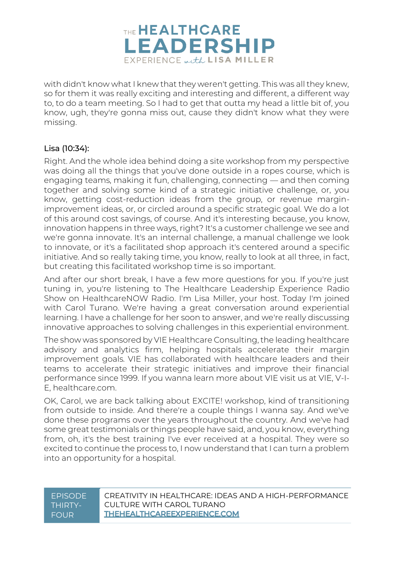

with didn't know what I knew that they weren't getting. This was all they knew, so for them it was really exciting and interesting and different, a different way to, to do a team meeting. So I had to get that outta my head a little bit of, you know, ugh, they're gonna miss out, cause they didn't know what they were missing.

#### Lisa (10:34):

Right. And the whole idea behind doing a site workshop from my perspective was doing all the things that you've done outside in a ropes course, which is engaging teams, making it fun, challenging, connecting — and then coming together and solving some kind of a strategic initiative challenge, or, you know, getting cost-reduction ideas from the group, or revenue marginimprovement ideas, or, or circled around a specific strategic goal. We do a lot of this around cost savings, of course. And it's interesting because, you know, innovation happens in three ways, right? It's a customer challenge we see and we're gonna innovate. It's an internal challenge, a manual challenge we look to innovate, or it's a facilitated shop approach it's centered around a specific initiative. And so really taking time, you know, really to look at all three, in fact, but creating this facilitated workshop time is so important.

And after our short break, I have a few more questions for you. If you're just tuning in, you're listening to The Healthcare Leadership Experience Radio Show on HealthcareNOW Radio. I'm Lisa Miller, your host. Today I'm joined with Carol Turano. We're having a great conversation around experiential learning. I have a challenge for her soon to answer, and we're really discussing innovative approaches to solving challenges in this experiential environment.

The show was sponsored by VIE Healthcare Consulting, the leading healthcare advisory and analytics firm, helping hospitals accelerate their margin improvement goals. VIE has collaborated with healthcare leaders and their teams to accelerate their strategic initiatives and improve their financial performance since 1999. If you wanna learn more about VIE visit us at VIE, V-I-E, healthcare.com.

OK, Carol, we are back talking about EXCITE! workshop, kind of transitioning from outside to inside. And there're a couple things I wanna say. And we've done these programs over the years throughout the country. And we've had some great testimonials or things people have said, and, you know, everything from, oh, it's the best training I've ever received at a hospital. They were so excited to continue the process to, I now understand that I can turn a problem into an opportunity for a hospital.

#### EPISODE THIRTY-FOUR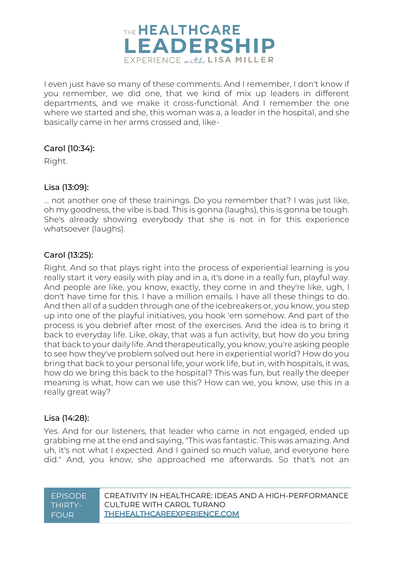

I even just have so many of these comments. And I remember, I don't know if you remember, we did one, that we kind of mix up leaders in different departments, and we make it cross-functional. And I remember the one where we started and she, this woman was a, a leader in the hospital, and she basically came in her arms crossed and, like-

#### Carol (10:34):

Right.

#### Lisa (13:09):

... not another one of these trainings. Do you remember that? I was just like, oh my goodness, the vibe is bad. This is gonna (laughs), this is gonna be tough. She's already showing everybody that she is not in for this experience whatsoever (laughs).

#### Carol (13:25):

Right. And so that plays right into the process of experiential learning is you really start it very easily with play and in a, it's done in a really fun, playful way. And people are like, you know, exactly, they come in and they're like, ugh, I don't have time for this. I have a million emails. I have all these things to do. And then all of a sudden through one of the icebreakers or, you know, you step up into one of the playful initiatives, you hook 'em somehow. And part of the process is you debrief after most of the exercises. And the idea is to bring it back to everyday life. Like, okay, that was a fun activity, but how do you bring that back to your daily life. And therapeutically, you know, you're asking people to see how they've problem solved out here in experiential world? How do you bring that back to your personal life, your work life, but in, with hospitals, it was, how do we bring this back to the hospital? This was fun, but really the deeper meaning is what, how can we use this? How can we, you know, use this in a really great way?

#### Lisa (14:28):

Yes. And for our listeners, that leader who came in not engaged, ended up grabbing me at the end and saying, "This was fantastic. This was amazing. And uh, it's not what I expected. And I gained so much value, and everyone here did." And, you know, she approached me afterwards. So that's not an

| <b>FPISODE</b> | CREATIVITY IN HEAI THCARE: IDEAS AND A HIGH-PERFORMANCE |
|----------------|---------------------------------------------------------|
| THIRTY-        | CUI TURF WITH CAROL TURANO                              |
| <b>FOUR</b>    | THEHEALTHCAREEXPERIENCE.COM                             |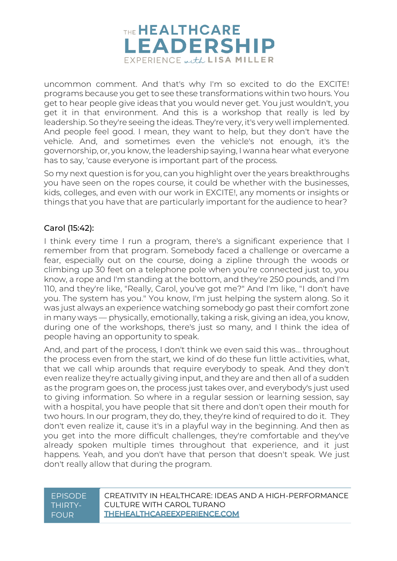

uncommon comment. And that's why I'm so excited to do the EXCITE! programs because you get to see these transformations within two hours. You get to hear people give ideas that you would never get. You just wouldn't, you get it in that environment. And this is a workshop that really is led by leadership. So they're seeing the ideas. They're very, it's very well implemented. And people feel good. I mean, they want to help, but they don't have the vehicle. And, and sometimes even the vehicle's not enough, it's the governorship, or, you know, the leadership saying, I wanna hear what everyone has to say, 'cause everyone is important part of the process.

So my next question is for you, can you highlight over the years breakthroughs you have seen on the ropes course, it could be whether with the businesses, kids, colleges, and even with our work in EXCITE!, any moments or insights or things that you have that are particularly important for the audience to hear?

#### Carol (15:42):

I think every time I run a program, there's a significant experience that I remember from that program. Somebody faced a challenge or overcame a fear, especially out on the course, doing a zipline through the woods or climbing up 30 feet on a telephone pole when you're connected just to, you know, a rope and I'm standing at the bottom, and they're 250 pounds, and I'm 110, and they're like, "Really, Carol, you've got me?" And I'm like, "I don't have you. The system has you." You know, I'm just helping the system along. So it was just always an experience watching somebody go past their comfort zone in many ways — physically, emotionally, taking a risk, giving an idea, you know, during one of the workshops, there's just so many, and I think the idea of people having an opportunity to speak.

And, and part of the process, I don't think we even said this was… throughout the process even from the start, we kind of do these fun little activities, what, that we call whip arounds that require everybody to speak. And they don't even realize they're actually giving input, and they are and then all of a sudden as the program goes on, the process just takes over, and everybody's just used to giving information. So where in a regular session or learning session, say with a hospital, you have people that sit there and don't open their mouth for two hours. In our program, they do, they, they're kind of required to do it. They don't even realize it, cause it's in a playful way in the beginning. And then as you get into the more difficult challenges, they're comfortable and they've already spoken multiple times throughout that experience, and it just happens. Yeah, and you don't have that person that doesn't speak. We just don't really allow that during the program.

#### EPISODE THIRTY-FOUR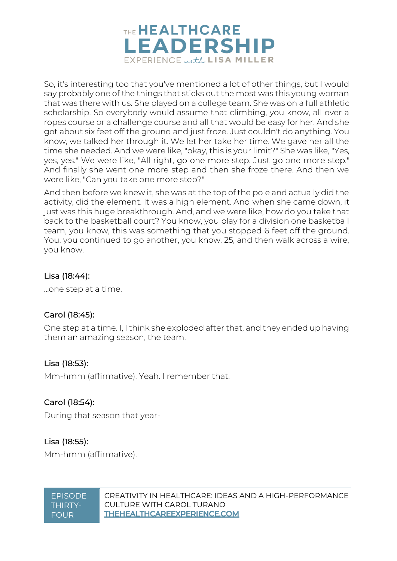

So, it's interesting too that you've mentioned a lot of other things, but I would say probably one of the things that sticks out the most was this young woman that was there with us. She played on a college team. She was on a full athletic scholarship. So everybody would assume that climbing, you know, all over a ropes course or a challenge course and all that would be easy for her. And she got about six feet off the ground and just froze. Just couldn't do anything. You know, we talked her through it. We let her take her time. We gave her all the time she needed. And we were like, "okay, this is your limit?" She was like, "Yes, yes, yes." We were like, "All right, go one more step. Just go one more step." And finally she went one more step and then she froze there. And then we were like, "Can you take one more step?"

And then before we knew it, she was at the top of the pole and actually did the activity, did the element. It was a high element. And when she came down, it just was this huge breakthrough. And, and we were like, how do you take that back to the basketball court? You know, you play for a division one basketball team, you know, this was something that you stopped 6 feet off the ground. You, you continued to go another, you know, 25, and then walk across a wire, you know.

#### Lisa (18:44):

…one step at a time.

### Carol (18:45):

One step at a time. I, I think she exploded after that, and they ended up having them an amazing season, the team.

#### Lisa (18:53):

Mm-hmm (affirmative). Yeah. I remember that.

#### Carol (18:54):

During that season that year-

### Lisa (18:55):

Mm-hmm (affirmative).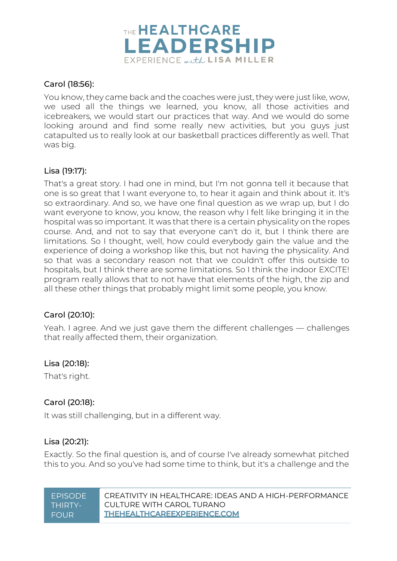

#### Carol (18:56):

You know, they came back and the coaches were just, they were just like, wow, we used all the things we learned, you know, all those activities and icebreakers, we would start our practices that way. And we would do some looking around and find some really new activities, but you guys just catapulted us to really look at our basketball practices differently as well. That was big.

#### Lisa (19:17):

That's a great story. I had one in mind, but I'm not gonna tell it because that one is so great that I want everyone to, to hear it again and think about it. It's so extraordinary. And so, we have one final question as we wrap up, but I do want everyone to know, you know, the reason why I felt like bringing it in the hospital was so important. It was that there is a certain physicality on the ropes course. And, and not to say that everyone can't do it, but I think there are limitations. So I thought, well, how could everybody gain the value and the experience of doing a workshop like this, but not having the physicality. And so that was a secondary reason not that we couldn't offer this outside to hospitals, but I think there are some limitations. So I think the indoor EXCITE! program really allows that to not have that elements of the high, the zip and all these other things that probably might limit some people, you know.

#### Carol (20:10):

Yeah. I agree. And we just gave them the different challenges — challenges that really affected them, their organization.

#### Lisa (20:18):

That's right.

### Carol (20:18):

It was still challenging, but in a different way.

#### Lisa (20:21):

Exactly. So the final question is, and of course I've already somewhat pitched this to you. And so you've had some time to think, but it's a challenge and the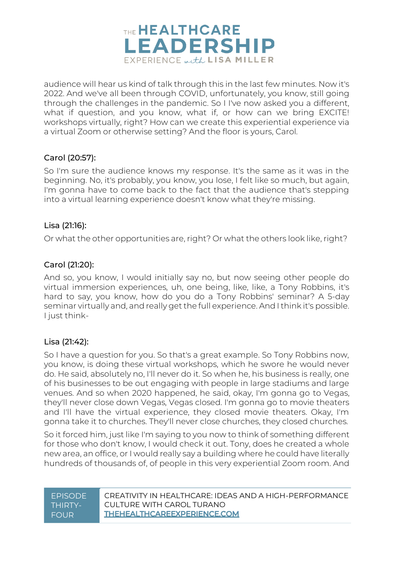

audience will hear us kind of talk through this in the last few minutes. Now it's 2022. And we've all been through COVID, unfortunately, you know, still going through the challenges in the pandemic. So I I've now asked you a different, what if question, and you know, what if, or how can we bring EXCITE! workshops virtually, right? How can we create this experiential experience via a virtual Zoom or otherwise setting? And the floor is yours, Carol.

#### Carol (20:57):

So I'm sure the audience knows my response. It's the same as it was in the beginning. No, it's probably, you know, you lose, I felt like so much, but again, I'm gonna have to come back to the fact that the audience that's stepping into a virtual learning experience doesn't know what they're missing.

#### Lisa (21:16):

Or what the other opportunities are, right? Or what the others look like, right?

#### Carol (21:20):

And so, you know, I would initially say no, but now seeing other people do virtual immersion experiences, uh, one being, like, like, a Tony Robbins, it's hard to say, you know, how do you do a Tony Robbins' seminar? A 5-day seminar virtually and, and really get the full experience. And I think it's possible. I just think-

#### Lisa (21:42):

So I have a question for you. So that's a great example. So Tony Robbins now, you know, is doing these virtual workshops, which he swore he would never do. He said, absolutely no, I'll never do it. So when he, his business is really, one of his businesses to be out engaging with people in large stadiums and large venues. And so when 2020 happened, he said, okay, I'm gonna go to Vegas, they'll never close down Vegas, Vegas closed. I'm gonna go to movie theaters and I'll have the virtual experience, they closed movie theaters. Okay, I'm gonna take it to churches. They'll never close churches, they closed churches.

So it forced him, just like I'm saying to you now to think of something different for those who don't know, I would check it out. Tony, does he created a whole new area, an office, or I would really say a building where he could have literally hundreds of thousands of, of people in this very experiential Zoom room. And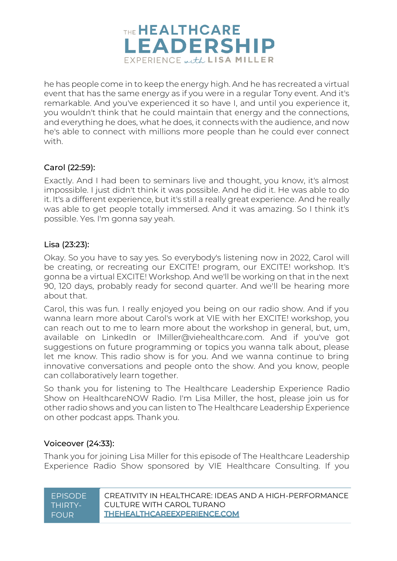

he has people come in to keep the energy high. And he has recreated a virtual event that has the same energy as if you were in a regular Tony event. And it's remarkable. And you've experienced it so have I, and until you experience it, you wouldn't think that he could maintain that energy and the connections, and everything he does, what he does, it connects with the audience, and now he's able to connect with millions more people than he could ever connect with.

#### Carol (22:59):

Exactly. And I had been to seminars live and thought, you know, it's almost impossible. I just didn't think it was possible. And he did it. He was able to do it. It's a different experience, but it's still a really great experience. And he really was able to get people totally immersed. And it was amazing. So I think it's possible. Yes. I'm gonna say yeah.

#### Lisa (23:23):

Okay. So you have to say yes. So everybody's listening now in 2022, Carol will be creating, or recreating our EXCITE! program, our EXCITE! workshop. It's gonna be a virtual EXCITE! Workshop. And we'll be working on that in the next 90, 120 days, probably ready for second quarter. And we'll be hearing more about that.

Carol, this was fun. I really enjoyed you being on our radio show. And if you wanna learn more about Carol's work at VIE with her EXCITE! workshop, you can reach out to me to learn more about the workshop in general, but, um, available on LinkedIn or lMiller@viehealthcare.com. And if you've got suggestions on future programming or topics you wanna talk about, please let me know. This radio show is for you. And we wanna continue to bring innovative conversations and people onto the show. And you know, people can collaboratively learn together.

So thank you for listening to The Healthcare Leadership Experience Radio Show on HealthcareNOW Radio. I'm Lisa Miller, the host, please join us for other radio shows and you can listen to The Healthcare Leadership Experience on other podcast apps. Thank you.

#### Voiceover (24:33):

Thank you for joining Lisa Miller for this episode of The Healthcare Leadership Experience Radio Show sponsored by VIE Healthcare Consulting. If you

| <b>FPISODE</b> | CREATIVITY IN HEAI THCARE: IDEAS AND A HIGH-PERFORMANCE |
|----------------|---------------------------------------------------------|
| THIRTY-        | CUI TURF WITH CAROL TURANO                              |
| <b>FOUR</b>    | THEHEALTHCAREEXPERIENCE.COM                             |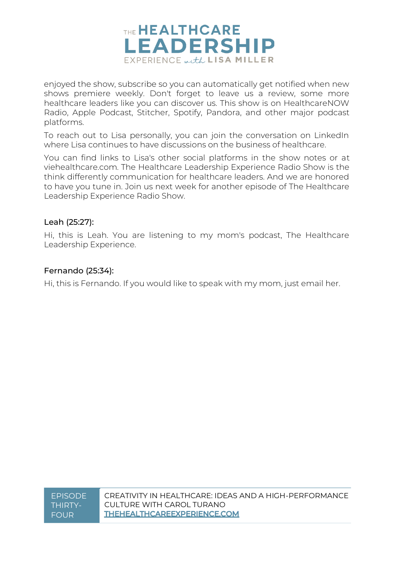

enjoyed the show, subscribe so you can automatically get notified when new shows premiere weekly. Don't forget to leave us a review, some more healthcare leaders like you can discover us. This show is on HealthcareNOW Radio, Apple Podcast, Stitcher, Spotify, Pandora, and other major podcast platforms.

To reach out to Lisa personally, you can join the conversation on LinkedIn where Lisa continues to have discussions on the business of healthcare.

You can find links to Lisa's other social platforms in the show notes or at viehealthcare.com. The Healthcare Leadership Experience Radio Show is the think differently communication for healthcare leaders. And we are honored to have you tune in. Join us next week for another episode of The Healthcare Leadership Experience Radio Show.

#### Leah (25:27):

Hi, this is Leah. You are listening to my mom's podcast, The Healthcare Leadership Experience.

#### Fernando (25:34):

Hi, this is Fernando. If you would like to speak with my mom, just email her.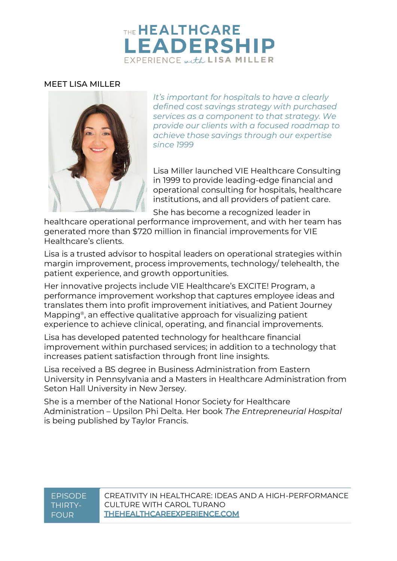## THE HEALTHCARE **LEADERSHIP** EXPERIENCE with LISA MILLER

#### MEET LISA MILLER



*It's important for hospitals to have a clearly defined cost savings strategy with purchased services as a component to that strategy. We provide our clients with a focused roadmap to achieve those savings through our expertise since 1999*

Lisa Miller launched VIE Healthcare Consulting in 1999 to provide leading-edge financial and operational consulting for hospitals, healthcare institutions, and all providers of patient care.

She has become a recognized leader in

healthcare operational performance improvement, and with her team has generated more than \$720 million in financial improvements for VIE Healthcare's clients.

Lisa is a trusted advisor to hospital leaders on operational strategies within margin improvement, process improvements, technology/ telehealth, the patient experience, and growth opportunities.

Her innovative projects include VIE Healthcare's EXCITE! Program, a performance improvement workshop that captures employee ideas and translates them into profit improvement initiatives, and Patient Journey Mapping®, an effective qualitative approach for visualizing patient experience to achieve clinical, operating, and financial improvements.

Lisa has developed patented technology for healthcare financial improvement within purchased services; in addition to a technology that increases patient satisfaction through front line insights.

Lisa received a BS degree in Business Administration from Eastern University in Pennsylvania and a Masters in Healthcare Administration from Seton Hall University in New Jersey.

She is a member of the National Honor Society for Healthcare Administration – Upsilon Phi Delta. Her book *The Entrepreneurial Hospital* is being published by Taylor Francis.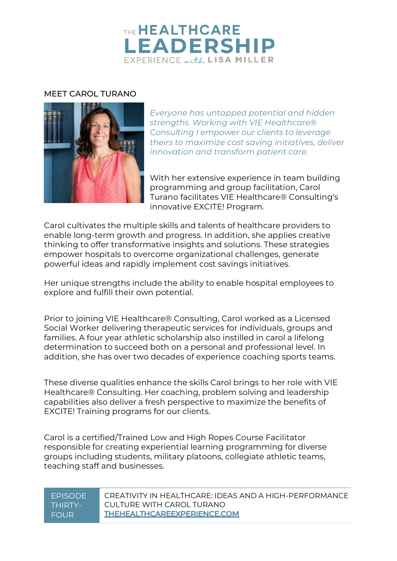## THE HEALTHCARE **LEADERSHIP** EXPERIENCE with LISA MILLER

#### MEET CAROL TURANO



*Everyone has untapped potential and hidden strengths. Working with VIE Healthcare® Consulting I empower our clients to leverage theirs to maximize cost saving initiatives, deliver innovation and transform patient care.*

With her extensive experience in team building programming and group facilitation, Carol Turano facilitates VIE Healthcare® Consulting's innovative EXCITE! Program.

Carol cultivates the multiple skills and talents of healthcare providers to enable long-term growth and progress. In addition, she applies creative thinking to offer transformative insights and solutions. These strategies empower hospitals to overcome organizational challenges, generate powerful ideas and rapidly implement cost savings initiatives.

Her unique strengths include the ability to enable hospital employees to explore and fulfill their own potential.

Prior to joining VIE Healthcare® Consulting, Carol worked as a Licensed Social Worker delivering therapeutic services for individuals, groups and families. A four year athletic scholarship also instilled in carol a lifelong determination to succeed both on a personal and professional level. In addition, she has over two decades of experience coaching sports teams.

These diverse qualities enhance the skills Carol brings to her role with VIE Healthcare® Consulting. Her coaching, problem solving and leadership capabilities also deliver a fresh perspective to maximize the benefits of EXCITE! Training programs for our clients.

Carol is a certified/Trained Low and High Ropes Course Facilitator responsible for creating experiential learning programming for diverse groups including students, military platoons, collegiate athletic teams, teaching staff and businesses.

#### EPISODE THIRTY-FOUR